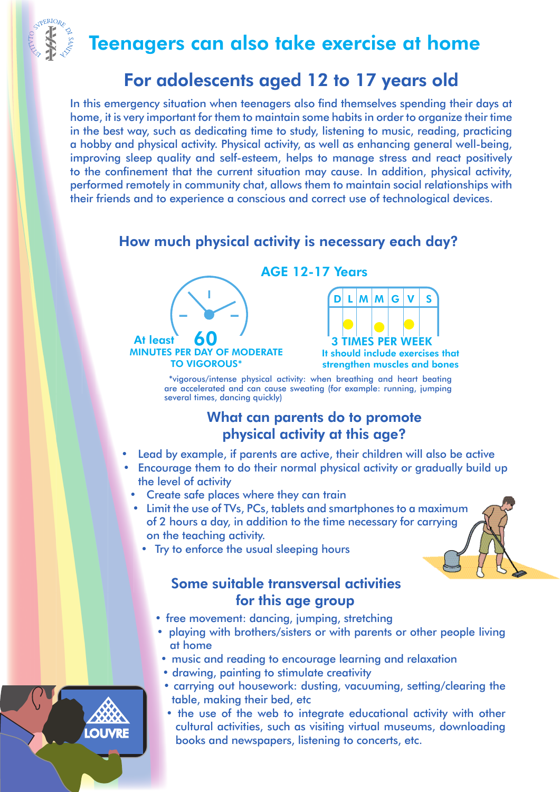Teenagers can also take exercise at home

# For adolescents aged 12 to 17 years old

In this emergency situation when teenagers also find themselves spending their days at home, it is very important for them to maintain some habits in order to organize their time in the best way, such as dedicating time to study, listening to music, reading, practicing a hobby and physical activity. Physical activity, as well as enhancing general well-being, improving sleep quality and self-esteem, helps to manage stress and react positively to the confinement that the current situation may cause. In addition, physical activity, performed remotely in community chat, allows them to maintain social relationships with their friends and to experience a conscious and correct use of technological devices.

### How much physical activity is necessary each day?



AGE 12-17 Years



It should include exercises that strengthen muscles and bones

 \*vigorous/intense physical activity: when breathing and heart beating are accelerated and can cause sweating (for example: running, jumping several times, dancing quickly)

#### What can parents do to promote physical activity at this age?

- Lead by example, if parents are active, their children will also be active
- Encourage them to do their normal physical activity or gradually build up the level of activity
	- Create safe places where they can train
	- Limit the use of TVs, PCs, tablets and smartphones to a maximum of 2 hours a day, in addition to the time necessary for carrying on the teaching activity.
		- Try to enforce the usual sleeping hours

#### Some suitable transversal activities for this age group

- free movement: dancing, jumping, stretching
- playing with brothers/sisters or with parents or other people living at home
- music and reading to encourage learning and relaxation
- drawing, painting to stimulate creativity
- carrying out housework: dusting, vacuuming, setting/clearing the table, making their bed, etc
- the use of the web to integrate educational activity with other cultural activities, such as visiting virtual museums, downloading LOUVRE books and newspapers, listening to concerts, etc.